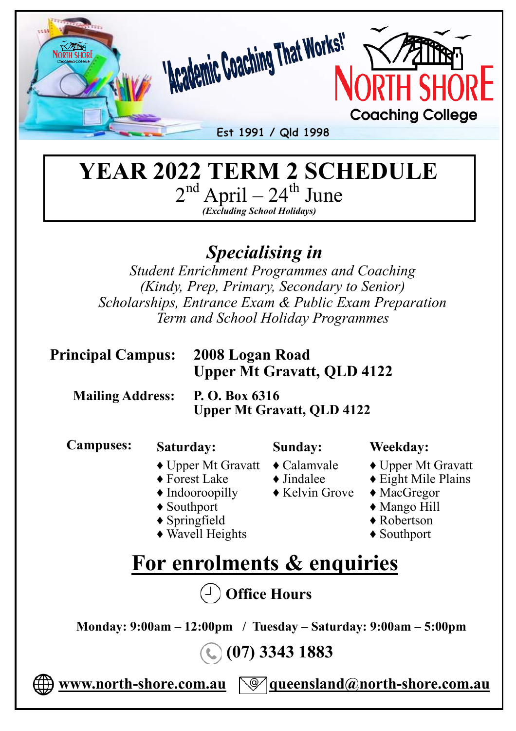

#### **YEAR 2022 TERM 2 SCHEDULE**   $2<sup>nd</sup>$  April –  $24<sup>th</sup>$  June *(Excluding School Holidays)*

# *Specialising in*

*Student Enrichment Programmes and Coaching (Kindy, Prep, Primary, Secondary to Senior) Scholarships, Entrance Exam & Public Exam Preparation Term and School Holiday Programmes*

#### **Principal Campus: 2008 Logan Road**

# **Upper Mt Gravatt, QLD 4122**

 **Mailing Address: P. O. Box 6316**

 **Upper Mt Gravatt, QLD 4122**

 **Campuses:** 

#### **Saturday:**

#### **Sunday:**

- ♦ Upper Mt Gravatt ♦ Calamvale
- ♦ Forest Lake
- ♦ Indooroopilly
- ♦ Southport
- ♦ Springfield
- ♦ Wavell Heights
- **Weekday:**
- 
- $\blacklozenge$  Jindalee
- $\triangle$  Kelvin Grove
- ♦ MacGregor

♦ Upper Mt Gravatt ♦ Eight Mile Plains

- ♦ Mango Hill
- ♦ Robertson
- ♦ Southport

# **For enrolments & enquiries**

 **Office Hours**

 **Monday: 9:00am – 12:00pm / Tuesday – Saturday: 9:00am – 5:00pm**

 **(07) 3343 1883** 

 **www.north-shore.com.au queensland@north-shore.com.au**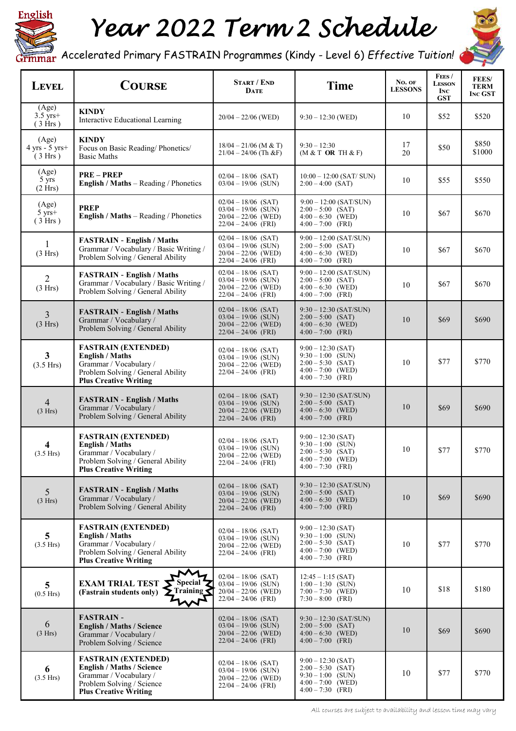

# *Year 2022 Term 2 Schedule*



Accelerated Primary FASTRAIN Programmes (Kindy - Level 6) *Effective Tuition!* 

| <b>LEVEL</b>                           | <b>COURSE</b>                                                                                                                                         | <b>START / END</b><br><b>DATE</b>                                                                | <b>Time</b>                                                                                                      | No. OF<br><b>LESSONS</b> | Fees/<br><b>LESSON</b><br><b>INC</b><br><b>GST</b> | <b>FEES/</b><br><b>TERM</b><br><b>INC GST</b> |
|----------------------------------------|-------------------------------------------------------------------------------------------------------------------------------------------------------|--------------------------------------------------------------------------------------------------|------------------------------------------------------------------------------------------------------------------|--------------------------|----------------------------------------------------|-----------------------------------------------|
| (Age)<br>$3.5 \text{ yrs}+$<br>(3 Hrs) | <b>KINDY</b><br>Interactive Educational Learning                                                                                                      | $20/04 - 22/06$ (WED)                                                                            | $9:30 - 12:30$ (WED)                                                                                             | 10                       | \$52                                               | \$520                                         |
| (Age)<br>$4$ yrs - 5 yrs+<br>(3 Hrs)   | <b>KINDY</b><br>Focus on Basic Reading/Phonetics/<br><b>Basic Maths</b>                                                                               | $18/04 - 21/06$ (M & T)<br>$21/04 - 24/06$ (Th &F)                                               | $9:30 - 12:30$<br>$(M & T$ OR TH $\& F)$                                                                         | 17<br>20                 | \$50                                               | \$850<br>\$1000                               |
| (Age)<br>5 yrs<br>(2 Hrs)              | <b>PRE-PREP</b><br>English / Maths - Reading / Phonetics                                                                                              | $02/04 - 18/06$ (SAT)<br>$03/04 - 19/06$ (SUN)                                                   | $10:00 - 12:00$ (SAT/SUN)<br>$2:00 - 4:00$ (SAT)                                                                 | 10                       | \$55                                               | \$550                                         |
| (Age)<br>$5 \text{ yrs}+$<br>(3 Hrs)   | <b>PREP</b><br><b>English / Maths</b> – Reading / Phonetics                                                                                           | $02/04 - 18/06$ (SAT)<br>$03/04 - 19/06$ (SUN)<br>$20/04 - 22/06$ (WED)<br>$22/04 - 24/06$ (FRI) | $9:00 - 12:00$ (SAT/SUN)<br>$2:00 - 5:00$ (SAT)<br>$4:00 - 6:30$ (WED)<br>$4:00 - 7:00$ (FRI)                    | 10                       | \$67                                               | \$670                                         |
| 1<br>(3 Hrs)                           | <b>FASTRAIN - English / Maths</b><br>Grammar / Vocabulary / Basic Writing /<br>Problem Solving / General Ability                                      | $02/04 - 18/06$ (SAT)<br>$03/04 - 19/06$ (SUN)<br>$20/04 - 22/06$ (WED)<br>$22/04 - 24/06$ (FRI) | $9:00 - 12:00$ (SAT/SUN)<br>$2:00 - 5:00$ (SAT)<br>$4:00 - 6:30$ (WED)<br>$4:00 - 7:00$ (FRI)                    | 10                       | \$67                                               | \$670                                         |
| $\overline{2}$<br>(3 Hrs)              | <b>FASTRAIN - English / Maths</b><br>Grammar / Vocabulary / Basic Writing /<br>Problem Solving / General Ability                                      | $02/04 - 18/06$ (SAT)<br>$03/04 - 19/06$ (SUN)<br>$20/04 - 22/06$ (WED)<br>$22/04 - 24/06$ (FRI) | $9:00 - 12:00$ (SAT/SUN)<br>$2:00 - 5:00$ (SAT)<br>$4:00 - 6:30$ (WED)<br>$4:00 - 7:00$ (FRI)                    | 10                       | \$67                                               | \$670                                         |
| 3<br>(3 Hrs)                           | <b>FASTRAIN - English / Maths</b><br>Grammar / Vocabulary /<br>Problem Solving / General Ability                                                      | $02/04 - 18/06$ (SAT)<br>$03/04 - 19/06$ (SUN)<br>$20/04 - 22/06$ (WED)<br>$22/04 - 24/06$ (FRI) | $9:30 - 12:30$ (SAT/SUN)<br>$2:00 - 5:00$ (SAT)<br>$4:00 - 6:30$ (WED)<br>$4:00 - 7:00$ (FRI)                    | 10                       | \$69                                               | \$690                                         |
| $\mathbf{3}$<br>(3.5 Hrs)              | <b>FASTRAIN (EXTENDED)</b><br><b>English / Maths</b><br>Grammar / Vocabulary /<br>Problem Solving / General Ability<br><b>Plus Creative Writing</b>   | $02/04 - 18/06$ (SAT)<br>$03/04 - 19/06$ (SUN)<br>$20/04 - 22/06$ (WED)<br>$22/04 - 24/06$ (FRI) | $9:00 - 12:30$ (SAT)<br>$9:30 - 1:00$ (SUN)<br>$2:00 - 5:30$ (SAT)<br>$4:00 - 7:00$ (WED)<br>$4:00 - 7:30$ (FRI) | 10                       | \$77                                               | \$770                                         |
| $\overline{4}$<br>(3 Hrs)              | <b>FASTRAIN - English / Maths</b><br>Grammar / Vocabulary /<br>Problem Solving / General Ability                                                      | $02/04 - 18/06$ (SAT)<br>$03/04 - 19/06$ (SUN)<br>$20/04 - 22/06$ (WED)<br>$22/04 - 24/06$ (FRI) | $9:30 - 12:30$ (SAT/SUN)<br>$2:00 - 5:00$ (SAT)<br>$4:00 - 6:30$ (WED)<br>$4:00 - 7:00$ (FRI)                    | 10                       | \$69                                               | \$690                                         |
| 4<br>(3.5 Hrs)                         | <b>FASTRAIN (EXTENDED)</b><br><b>English / Maths</b><br>Grammar / Vocabulary /<br>Problem Solving / General Ability<br><b>Plus Creative Writing</b>   | $02/04 - 18/06$ (SAT)<br>$03/04 - 19/06$ (SUN)<br>$20/04 - 22/06$ (WED)<br>$22/04 - 24/06$ (FRI) | $9:00 - 12:30$ (SAT)<br>$9:30 - 1:00$ (SUN)<br>$2:00 - 5:30$ (SAT)<br>$4:00 - 7:00$ (WED)<br>$4:00 - 7:30$ (FRI) | 10                       | \$77                                               | \$770                                         |
| 5<br>(3 Hrs)                           | <b>FASTRAIN - English / Maths</b><br>Grammar / Vocabulary /<br>Problem Solving / General Ability                                                      | $02/04 - 18/06$ (SAT)<br>$03/04 - 19/06$ (SUN)<br>$20/04 - 22/06$ (WED)<br>$22/04 - 24/06$ (FRI) | $9:30 - 12:30$ (SAT/SUN)<br>$2:00 - 5:00$ (SAT)<br>$4:00 - 6:30$ (WED)<br>$4:00 - 7:00$ (FRI)                    | 10                       | \$69                                               | \$690                                         |
| 5<br>$(3.5$ Hrs)                       | <b>FASTRAIN (EXTENDED)</b><br><b>English / Maths</b><br>Grammar / Vocabulary /<br>Problem Solving / General Ability<br><b>Plus Creative Writing</b>   | $02/04 - 18/06$ (SAT)<br>$03/04 - 19/06$ (SUN)<br>$20/04 - 22/06$ (WED)<br>$22/04 - 24/06$ (FRI) | $9:00 - 12:30$ (SAT)<br>$9:30 - 1:00$ (SUN)<br>$2:00 - 5:30$ (SAT)<br>$4:00 - 7:00$ (WED)<br>$4:00 - 7:30$ (FRI) | 10                       | \$77                                               | \$770                                         |
| 5<br>$(0.5$ Hrs $)$                    | <b>EXAM TRIAL TEST</b><br><b>Special</b><br>$\sum$ Training $\sum$<br>(Fastrain students only)                                                        | $02/04 - 18/06$ (SAT)<br>$03/04 - 19/06$ (SUN)<br>$20/04 - 22/06$ (WED)<br>$22/04 - 24/06$ (FRI) | $12:45 - 1:15$ (SAT)<br>$1:00-1:30$ (SUN)<br>$7:00 - 7:30$ (WED)<br>$7:30 - 8:00$ (FRI)                          | 10                       | \$18                                               | \$180                                         |
| 6<br>(3 Hrs)                           | <b>FASTRAIN -</b><br><b>English / Maths / Science</b><br>Grammar / Vocabulary /<br>Problem Solving / Science                                          | $02/04 - 18/06$ (SAT)<br>$03/04 - 19/06$ (SUN)<br>$20/04 - 22/06$ (WED)<br>$22/04 - 24/06$ (FRI) | $9:30 - 12:30$ (SAT/SUN)<br>$2:00 - 5:00$ (SAT)<br>$4:00 - 6:30$ (WED)<br>$4:00 - 7:00$ (FRI)                    | 10                       | \$69                                               | \$690                                         |
| 6<br>(3.5 Hrs)                         | <b>FASTRAIN (EXTENDED)</b><br><b>English / Maths / Science</b><br>Grammar / Vocabulary /<br>Problem Solving / Science<br><b>Plus Creative Writing</b> | $02/04 - 18/06$ (SAT)<br>$03/04 - 19/06$ (SUN)<br>$20/04 - 22/06$ (WED)<br>$22/04 - 24/06$ (FRI) | $9:00 - 12:30$ (SAT)<br>$2:00 - 5:30$ (SAT)<br>$9:30 - 1:00$ (SUN)<br>$4:00 - 7:00$ (WED)<br>$4:00 - 7:30$ (FRI) | 10                       | \$77                                               | \$770                                         |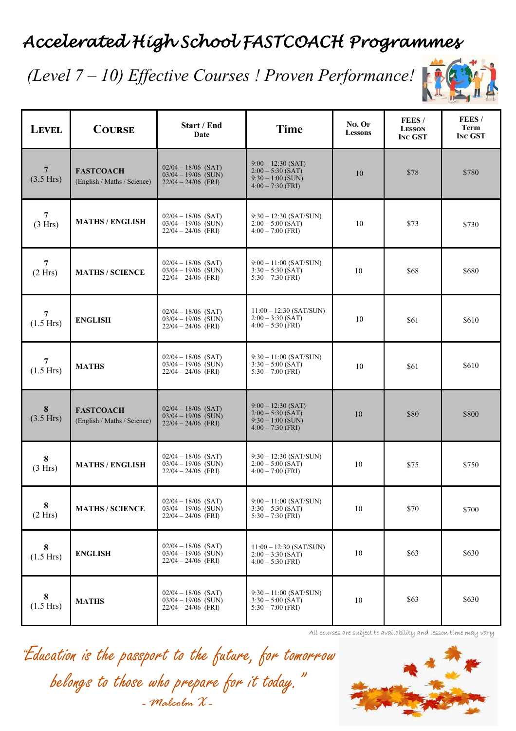# *Accelerated High School FASTCOACH Programmes*

### *(Level 7 – 10) Effective Courses ! Proven Performance!*



| <b>LEVEL</b>                | <b>COURSE</b>                                   | Start / End<br>Date                                                     | <b>Time</b>                                                                               | No. OF<br><b>Lessons</b> | FEES/<br><b>LESSON</b><br><b>INC GST</b> | FEES/<br><b>Term</b><br><b>INC GST</b> |
|-----------------------------|-------------------------------------------------|-------------------------------------------------------------------------|-------------------------------------------------------------------------------------------|--------------------------|------------------------------------------|----------------------------------------|
| $\overline{7}$<br>(3.5 Hrs) | <b>FASTCOACH</b><br>(English / Maths / Science) | $02/04 - 18/06$ (SAT)<br>$03/04 - 19/06$ (SUN)<br>$22/04 - 24/06$ (FRI) | $9:00 - 12:30$ (SAT)<br>$2:00 - 5:30$ (SAT)<br>$9:30 - 1:00$ (SUN)<br>$4:00 - 7:30$ (FRI) | 10                       | \$78                                     | \$780                                  |
| $\overline{7}$<br>(3 Hrs)   | <b>MATHS / ENGLISH</b>                          | $02/04 - 18/06$ (SAT)<br>$03/04 - 19/06$ (SUN)<br>$22/04 - 24/06$ (FRI) | $9:30 - 12:30$ (SAT/SUN)<br>$2:00 - 5:00$ (SAT)<br>$4:00 - 7:00$ (FRI)                    | 10                       | \$73                                     | \$730                                  |
| 7<br>(2 Hrs)                | <b>MATHS / SCIENCE</b>                          | $02/04 - 18/06$ (SAT)<br>$03/04 - 19/06$ (SUN)<br>$22/04 - 24/06$ (FRI) | $9:00 - 11:00$ (SAT/SUN)<br>$3:30 - 5:30$ (SAT)<br>$5:30 - 7:30$ (FRI)                    | 10                       | \$68                                     | \$680                                  |
| 7<br>(1.5 Hrs)              | <b>ENGLISH</b>                                  | $02/04 - 18/06$ (SAT)<br>$03/04 - 19/06$ (SUN)<br>$22/04 - 24/06$ (FRI) | $11:00 - 12:30$ (SAT/SUN)<br>$2:00 - 3:30$ (SAT)<br>$4:00 - 5:30$ (FRI)                   | 10                       | \$61                                     | \$610                                  |
| 7<br>$(1.5$ Hrs)            | <b>MATHS</b>                                    | $02/04 - 18/06$ (SAT)<br>$03/04 - 19/06$ (SUN)<br>$22/04 - 24/06$ (FRI) | $9:30 - 11:00$ (SAT/SUN)<br>$3:30 - 5:00$ (SAT)<br>$5:30 - 7:00$ (FRI)                    | 10                       | \$61                                     | \$610                                  |
| $8\phantom{1}$<br>(3.5 Hrs) | <b>FASTCOACH</b><br>(English / Maths / Science) | $02/04 - 18/06$ (SAT)<br>$03/04 - 19/06$ (SUN)<br>$22/04 - 24/06$ (FRI) | $9:00 - 12:30$ (SAT)<br>$2:00 - 5:30$ (SAT)<br>$9:30 - 1:00$ (SUN)<br>$4:00 - 7:30$ (FRI) | 10                       | \$80                                     | \$800                                  |
| 8<br>(3 Hrs)                | <b>MATHS / ENGLISH</b>                          | $02/04 - 18/06$ (SAT)<br>$03/04 - 19/06$ (SUN)<br>$22/04 - 24/06$ (FRI) | $9:30 - 12:30$ (SAT/SUN)<br>$2:00 - 5:00$ (SAT)<br>$4:00 - 7:00$ (FRI)                    | 10                       | \$75                                     | \$750                                  |
| 8<br>(2 Hrs)                | <b>MATHS / SCIENCE</b>                          | $02/04 - 18/06$ (SAT)<br>$03/04 - 19/06$ (SUN)<br>$22/04 - 24/06$ (FRI) | $9:00 - 11:00$ (SAT/SUN)<br>$3:30 - 5:30$ (SAT)<br>$5:30 - 7:30$ (FRI)                    | 10                       | \$70                                     | \$700                                  |
| 8<br>(1.5 Hrs)              | <b>ENGLISH</b>                                  | $02/04 - 18/06$ (SAT)<br>$03/04 - 19/06$ (SUN)<br>$22/04 - 24/06$ (FRI) | $11:00 - 12:30$ (SAT/SUN)<br>$2:00 - 3:30$ (SAT)<br>$4:00 - 5:30$ (FRI)                   | 10                       | \$63                                     | \$630                                  |
| 8<br>(1.5 Hrs)              | <b>MATHS</b>                                    | $02/04 - 18/06$ (SAT)<br>$03/04 - 19/06$ (SUN)<br>$22/04 - 24/06$ (FRI) | $9:30 - 11:00$ (SAT/SUN)<br>$3:30 - 5:00$ (SAT)<br>$5:30 - 7:00$ (FRI)                    | 10                       | \$63                                     | \$630                                  |

All courses are subject to availability and lesson time may vary

"Education is the passport to the future, for tomorrow belongs to those who prepare for it today." *- Malcolm X -*

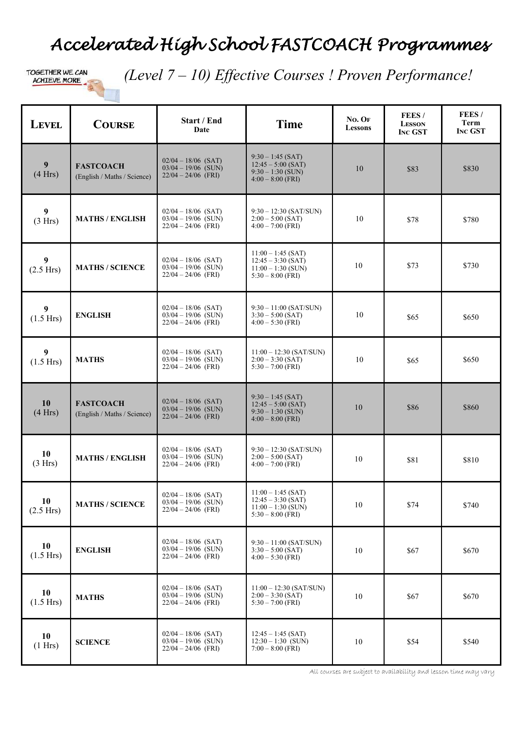### *Accelerated High School FASTCOACH Programmes*

 *(Level 7 – 10) Effective Courses ! Proven Performance!*

| <b>LEVEL</b>                | <b>COURSE</b>                                   | Start / End<br><b>Date</b>                                              | <b>Time</b>                                                                                 | $No.$ OF<br><b>Lessons</b> | FEES/<br><b>LESSON</b><br><b>INC GST</b> | FEES/<br><b>Term</b><br><b>INC GST</b> |
|-----------------------------|-------------------------------------------------|-------------------------------------------------------------------------|---------------------------------------------------------------------------------------------|----------------------------|------------------------------------------|----------------------------------------|
| 9<br>(4 Hrs)                | <b>FASTCOACH</b><br>(English / Maths / Science) | $02/04 - 18/06$ (SAT)<br>$03/04 - 19/06$ (SUN)<br>$22/04 - 24/06$ (FRI) | $9:30 - 1:45$ (SAT)<br>$12:45 - 5:00$ (SAT)<br>$9:30 - 1:30$ (SUN)<br>$4:00 - 8:00$ (FRI)   | 10                         | \$83                                     | \$830                                  |
| $\boldsymbol{9}$<br>(3 Hrs) | <b>MATHS / ENGLISH</b>                          | $02/04 - 18/06$ (SAT)<br>$03/04 - 19/06$ (SUN)<br>$22/04 - 24/06$ (FRI) | $9:30 - 12:30$ (SAT/SUN)<br>$2:00 - 5:00$ (SAT)<br>$4:00 - 7:00$ (FRI)                      | 10                         | \$78                                     | \$780                                  |
| 9<br>(2.5 Hrs)              | <b>MATHS / SCIENCE</b>                          | $02/04 - 18/06$ (SAT)<br>$03/04 - 19/06$ (SUN)<br>$22/04 - 24/06$ (FRI) | $11:00 - 1:45$ (SAT)<br>$12:45 - 3:30$ (SAT)<br>$11:00 - 1:30$ (SUN)<br>$5:30 - 8:00$ (FRI) | 10                         | \$73                                     | \$730                                  |
| 9<br>(1.5 Hrs)              | <b>ENGLISH</b>                                  | $02/04 - 18/06$ (SAT)<br>$03/04 - 19/06$ (SUN)<br>$22/04 - 24/06$ (FRI) | $9:30 - 11:00$ (SAT/SUN)<br>$3:30 - 5:00$ (SAT)<br>$4:00 - 5:30$ (FRI)                      | 10                         | \$65                                     | \$650                                  |
| 9<br>(1.5 Hrs)              | <b>MATHS</b>                                    | $02/04 - 18/06$ (SAT)<br>$03/04 - 19/06$ (SUN)<br>$22/04 - 24/06$ (FRI) | $11:00 - 12:30$ (SAT/SUN)<br>$2:00 - 3:30$ (SAT)<br>$5:30 - 7:00$ (FRI)                     | 10                         | \$65                                     | \$650                                  |
| 10<br>(4 Hrs)               | <b>FASTCOACH</b><br>(English / Maths / Science) | $02/04 - 18/06$ (SAT)<br>$03/04 - 19/06$ (SUN)<br>$22/04 - 24/06$ (FRI) | $9:30 - 1:45$ (SAT)<br>$12:45 - 5:00$ (SAT)<br>$9:30 - 1:30$ (SUN)<br>$4:00 - 8:00$ (FRI)   | 10                         | \$86                                     | \$860                                  |
| 10<br>(3 Hrs)               | <b>MATHS / ENGLISH</b>                          | $02/04 - 18/06$ (SAT)<br>$03/04 - 19/06$ (SUN)<br>$22/04 - 24/06$ (FRI) | $9:30 - 12:30$ (SAT/SUN)<br>$2:00 - 5:00$ (SAT)<br>$4:00 - 7:00$ (FRI)                      | 10                         | \$81                                     | \$810                                  |
| 10<br>$(2.5$ Hrs)           | <b>MATHS / SCIENCE</b>                          | $02/04 - 18/06$ (SAT)<br>$03/04 - 19/06$ (SUN)<br>$22/04 - 24/06$ (FRI) | $11:00 - 1:45$ (SAT)<br>$12:45 - 3:30$ (SAT)<br>$11:00 - 1:30$ (SUN)<br>$5:30 - 8:00$ (FRI) | 10                         | \$74                                     | \$740                                  |
| 10<br>$(1.5$ Hrs)           | <b>ENGLISH</b>                                  | $02/04 - 18/06$ (SAT)<br>$03/04 - 19/06$ (SUN)<br>$22/04 - 24/06$ (FRI) | $9:30 - 11:00$ (SAT/SUN)<br>$3:30 - 5:00$ (SAT)<br>$4:00 - 5:30$ (FRI)                      | 10                         | \$67                                     | \$670                                  |
| 10<br>$(1.5$ Hrs)           | <b>MATHS</b>                                    | $02/04 - 18/06$ (SAT)<br>$03/04 - 19/06$ (SUN)<br>$22/04 - 24/06$ (FRI) | $11:00 - 12:30$ (SAT/SUN)<br>$2:00 - 3:30$ (SAT)<br>$5:30 - 7:00$ (FRI)                     | 10                         | \$67                                     | \$670                                  |
| 10<br>(1 Hrs)               | <b>SCIENCE</b>                                  | $02/04 - 18/06$ (SAT)<br>$03/04 - 19/06$ (SUN)<br>$22/04 - 24/06$ (FRI) | $12:45 - 1:45$ (SAT)<br>$12:30 - 1:30$ (SUN)<br>$7:00 - 8:00$ (FRI)                         | 10                         | \$54                                     | \$540                                  |

All courses are subject to availability and lesson time may vary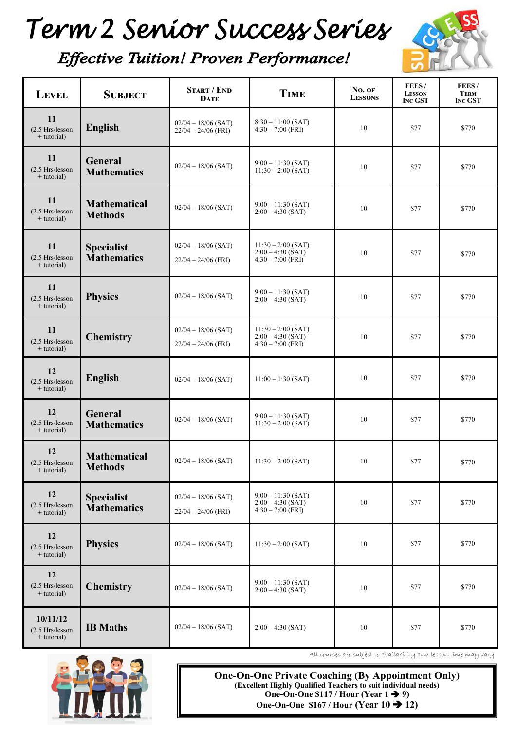# Term 2 Senior Success Series



#### **Effective Tuition! Proven Performance!**

| <b>LEVEL</b>                                   | <b>SUBJECT</b>                          | <b>START / END</b><br><b>DATE</b>              | <b>TIME</b>                                                        | No. OF<br><b>LESSONS</b> | FEES/<br><b>LESSON</b><br><b>INC GST</b> | FEES/<br><b>TERM</b><br><b>INC GST</b> |
|------------------------------------------------|-----------------------------------------|------------------------------------------------|--------------------------------------------------------------------|--------------------------|------------------------------------------|----------------------------------------|
| 11<br>(2.5 Hrs/lesson<br>$+$ tutorial)         | <b>English</b>                          | $02/04 - 18/06$ (SAT)<br>$22/04 - 24/06$ (FRI) | $8:30 - 11:00$ (SAT)<br>$4:30 - 7:00$ (FRI)                        | 10                       | \$77                                     | \$770                                  |
| 11<br>$(2.5$ Hrs/lesson<br>$+$ tutorial)       | General<br><b>Mathematics</b>           | $02/04 - 18/06$ (SAT)                          | $9:00 - 11:30$ (SAT)<br>$11:30 - 2:00$ (SAT)                       | 10                       | \$77                                     | \$770                                  |
| 11<br>(2.5 Hrs/lesson<br>$+$ tutorial)         | <b>Mathematical</b><br><b>Methods</b>   | $02/04 - 18/06$ (SAT)                          | $9:00 - 11:30$ (SAT)<br>$2:00 - 4:30$ (SAT)                        | 10                       | \$77                                     | \$770                                  |
| 11<br>$(2.5$ Hrs/lesson<br>+ tutorial)         | <b>Specialist</b><br><b>Mathematics</b> | $02/04 - 18/06$ (SAT)<br>$22/04 - 24/06$ (FRI) | $11:30 - 2:00$ (SAT)<br>$2:00 - 4:30$ (SAT)<br>$4:30 - 7:00$ (FRI) | 10                       | \$77                                     | \$770                                  |
| 11<br>(2.5 Hrs/lesson<br>$+$ tutorial)         | <b>Physics</b>                          | $02/04 - 18/06$ (SAT)                          | $9:00 - 11:30$ (SAT)<br>$2:00 - 4:30$ (SAT)                        | 10                       | \$77                                     | \$770                                  |
| 11<br>(2.5 Hrs/lesson<br>$+$ tutorial)         | <b>Chemistry</b>                        | $02/04 - 18/06$ (SAT)<br>$22/04 - 24/06$ (FRI) | $11:30 - 2:00$ (SAT)<br>$2:00 - 4:30$ (SAT)<br>$4:30 - 7:00$ (FRI) | 10                       | \$77                                     | \$770                                  |
| 12<br>(2.5 Hrs/lesson<br>$+$ tutorial)         | <b>English</b>                          | $02/04 - 18/06$ (SAT)                          | $11:00 - 1:30$ (SAT)                                               | 10                       | \$77                                     | \$770                                  |
| 12<br>(2.5 Hrs/lesson<br>$+$ tutorial)         | General<br><b>Mathematics</b>           | $02/04 - 18/06$ (SAT)                          | $9:00 - 11:30$ (SAT)<br>$11:30 - 2:00$ (SAT)                       | 10                       | \$77                                     | \$770                                  |
| 12<br>$(2.5$ Hrs/lesson<br>$+$ tutorial)       | <b>Mathematical</b><br><b>Methods</b>   | $02/04 - 18/06$ (SAT)                          | $11:30 - 2:00$ (SAT)                                               | 10                       | \$77                                     | \$770                                  |
| 12<br>$(2.5$ Hrs/lesson<br>$+$ tutorial)       | <b>Specialist</b><br><b>Mathematics</b> | $02/04 - 18/06$ (SAT)<br>$22/04 - 24/06$ (FRI) | $9:00 - 11:30$ (SAT)<br>$2:00 - 4:30$ (SAT)<br>$4:30 - 7:00$ (FRI) | 10                       | \$77                                     | \$770                                  |
| 12<br>$(2.5$ Hrs/lesson<br>+ tutorial)         | <b>Physics</b>                          | $02/04 - 18/06$ (SAT)                          | $11:30 - 2:00$ (SAT)                                               | 10                       | \$77                                     | \$770                                  |
| 12<br>(2.5 Hrs/lesson<br>$+$ tutorial)         | <b>Chemistry</b>                        | $02/04 - 18/06$ (SAT)                          | $9:00 - 11:30$ (SAT)<br>$2:00 - 4:30$ (SAT)                        | 10                       | \$77                                     | \$770                                  |
| 10/11/12<br>$(2.5$ Hrs/lesson<br>$+$ tutorial) | <b>IB</b> Maths                         | $02/04 - 18/06$ (SAT)                          | $2:00 - 4:30$ (SAT)                                                | 10                       | \$77                                     | \$770                                  |



All courses are subject to availability and lesson time may vary

**One-On-One Private Coaching (By Appointment Only) (Excellent Highly Qualified Teachers to suit individual needs) One-On-One \$117 / Hour (Year 1 9) One-On-One \$167 / Hour (Year 10 12)**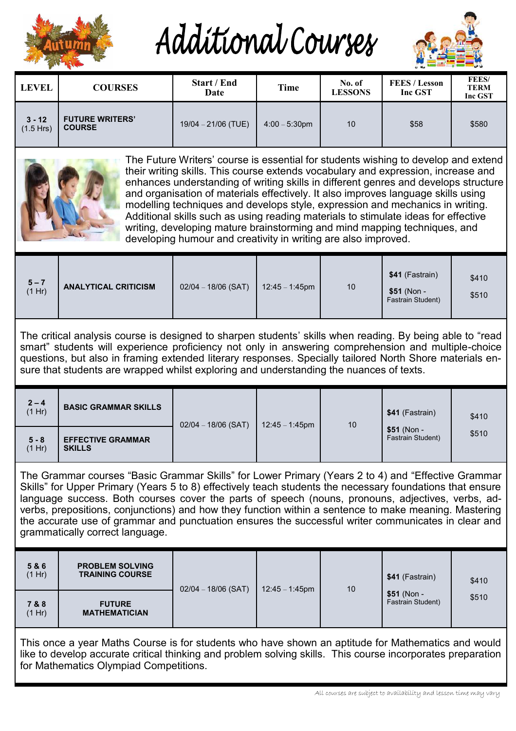

Additional Courses



| <b>LEVEL</b>                                                                                                                                                                                                                                                                                                                                                                                                                                                                                                                                                                                           | <b>COURSES</b>                          | <b>Start / End</b><br>Date | <b>Time</b>      | No. of<br><b>LESSONS</b> | <b>FEES / Lesson</b><br>Inc GST | FEES/<br><b>TERM</b><br>Inc GST |  |
|--------------------------------------------------------------------------------------------------------------------------------------------------------------------------------------------------------------------------------------------------------------------------------------------------------------------------------------------------------------------------------------------------------------------------------------------------------------------------------------------------------------------------------------------------------------------------------------------------------|-----------------------------------------|----------------------------|------------------|--------------------------|---------------------------------|---------------------------------|--|
| $3 - 12$<br>$(1.5$ Hrs)                                                                                                                                                                                                                                                                                                                                                                                                                                                                                                                                                                                | <b>FUTURE WRITERS'</b><br><b>COURSE</b> | $19/04 - 21/06$ (TUE)      | $4:00 - 5:30$ pm | 10                       | \$58                            | \$580                           |  |
| The Future Writers' course is essential for students wishing to develop and extend<br>their writing skills. This course extends vocabulary and expression, increase and<br>enhances understanding of writing skills in different genres and develops structure<br>and organisation of materials effectively. It also improves language skills using<br>modelling techniques and develops style, expression and mechanics in writing.<br>Additional skills such as using reading materials to stimulate ideas for effective<br>writing doveloping mature brainsterming and mind manning techniques, and |                                         |                            |                  |                          |                                 |                                 |  |

writing, developing mature brainstorming and mind mapping techniques, and developing humour and creativity in writing are also improved.

|--|

The critical analysis course is designed to sharpen students' skills when reading. By being able to "read smart" students will experience proficiency not only in answering comprehension and multiple-choice questions, but also in framing extended literary responses. Specially tailored North Shore materials ensure that students are wrapped whilst exploring and understanding the nuances of texts.

| $2 - 4$<br>(1 Hr) | <b>BASIC GRAMMAR SKILLS</b>               | $02/04 - 18/06$ (SAT) | $12:45 - 1:45$ pm | 10 | \$41 (Fastrain)                   | \$410 |
|-------------------|-------------------------------------------|-----------------------|-------------------|----|-----------------------------------|-------|
| $5 - 8$<br>(1 Hr) | <b>EFFECTIVE GRAMMAR</b><br><b>SKILLS</b> |                       |                   |    | $$51$ (Non -<br>Fastrain Student) | \$510 |

The Grammar courses "Basic Grammar Skills" for Lower Primary (Years 2 to 4) and "Effective Grammar Skills" for Upper Primary (Years 5 to 8) effectively teach students the necessary foundations that ensure language success. Both courses cover the parts of speech (nouns, pronouns, adjectives, verbs, adverbs, prepositions, conjunctions) and how they function within a sentence to make meaning. Mastering the accurate use of grammar and punctuation ensures the successful writer communicates in clear and grammatically correct language.

| 5 & 6<br>(1 Hr) | <b>PROBLEM SOLVING</b><br><b>TRAINING COURSE</b> | $02/04 - 18/06$ (SAT) |                   |    | \$41 (Fastrain)                   | \$410 |
|-----------------|--------------------------------------------------|-----------------------|-------------------|----|-----------------------------------|-------|
| 7 & 8<br>(1 Hr) | <b>FUTURE</b><br><b>MATHEMATICIAN</b>            |                       | $12:45 - 1:45$ pm | 10 | $$51 (Non -$<br>Fastrain Student) | \$510 |

This once a year Maths Course is for students who have shown an aptitude for Mathematics and would like to develop accurate critical thinking and problem solving skills. This course incorporates preparation for Mathematics Olympiad Competitions.